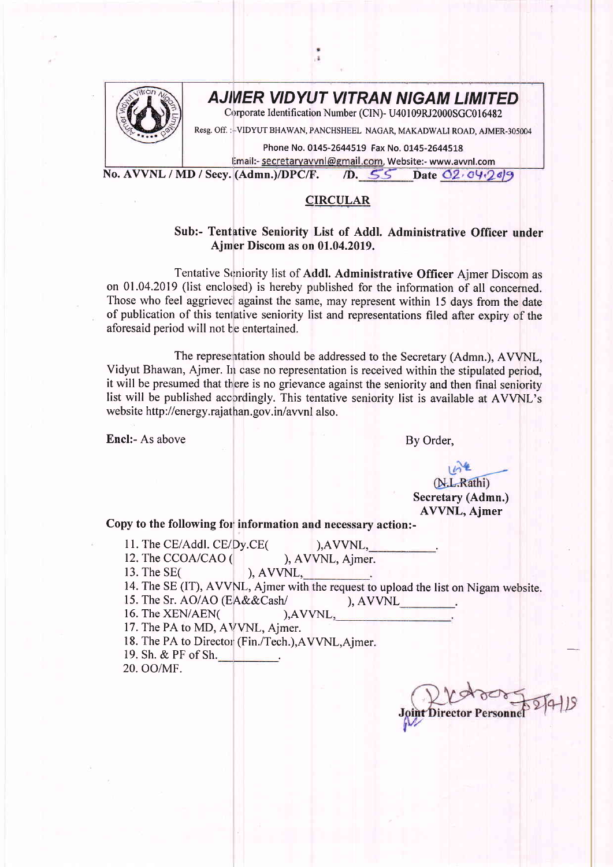

## AJIWER VIDYL'T VITRAN NIGAM LIMITED

Corporate Identification Number (CIN)- U40 I 09RI2000SGC016482

Resg. Off. : - VIDYUT BHAWAN, PANCHSHEEL NAGAR, MAKADWALI ROAD, AJMER-305004

Phone No. 0145-2644519 Fax No. 0145-2644518

Email:- secretaryavvnl@gmail.com, Website:- www.avvnl.com No. AVVNL / MD / Secy. (Admn.)/DPC/F.  $\sqrt{D}$ . 55 Date 02.04.249

## CIRCULAR

## Sub:- Tentative Seniority List of Addl. Administrative Officer under Ajmer Discom as on 01.04.2019.

Tentative Seniority list of Addl. Administrative Officer Ajmer Discom as on 0l .04.2019 (list enclosed) is hereby published for the information of all concerned. Those who feel aggrieved against the same, may represent within 15 days from the date of publication of this tenlative seniority list and representations filed after expiry of the aforesaid period will not be entertained.

The representation should be addressed to the Secretary (Admn.), AVVNL, Vidyut Bhawan, Ajmer. In case no representation is received within the stipulated period, it will be presumed that there is no grievance against the seniority and then final seniority list will be published accordingly. This tentative seniority list is available at AVVNL's website http://energy.rajathan.gov.in/avvnl also.

Encl:- As above By Order,

(N.L.Rathi) Secretary (Admn.) AVVNL, Ajmer

Copy to the following for information and necessary action:-

- 
- 11. The CE/Addl. CE/Dy.CE(
(a),AVVNL, 12. The CCOA/CAO (
). AVVNL. Aimer 12. The CCOA/CAO (
), AVVNL, Ajmer.<br>
13. The SE(
). AVVNL.
- $AVVNL$ ,
- 14. The SE (IT), AVVNL, Ajmer with the request to upload the list on Nigam website

), AVVNL

- 15. The Sr. AO/AO (EA&&Cash/
- 16. The XEN/AEN( ), AVVNL,
- 17. The PA to MD, AVVNL, Ajmer.
- 18. The PA to Director (Fin./Tech.), AVVNL, Ajmer.
- 19. Sh. & PF of Sh.
- 20. oo/MF.